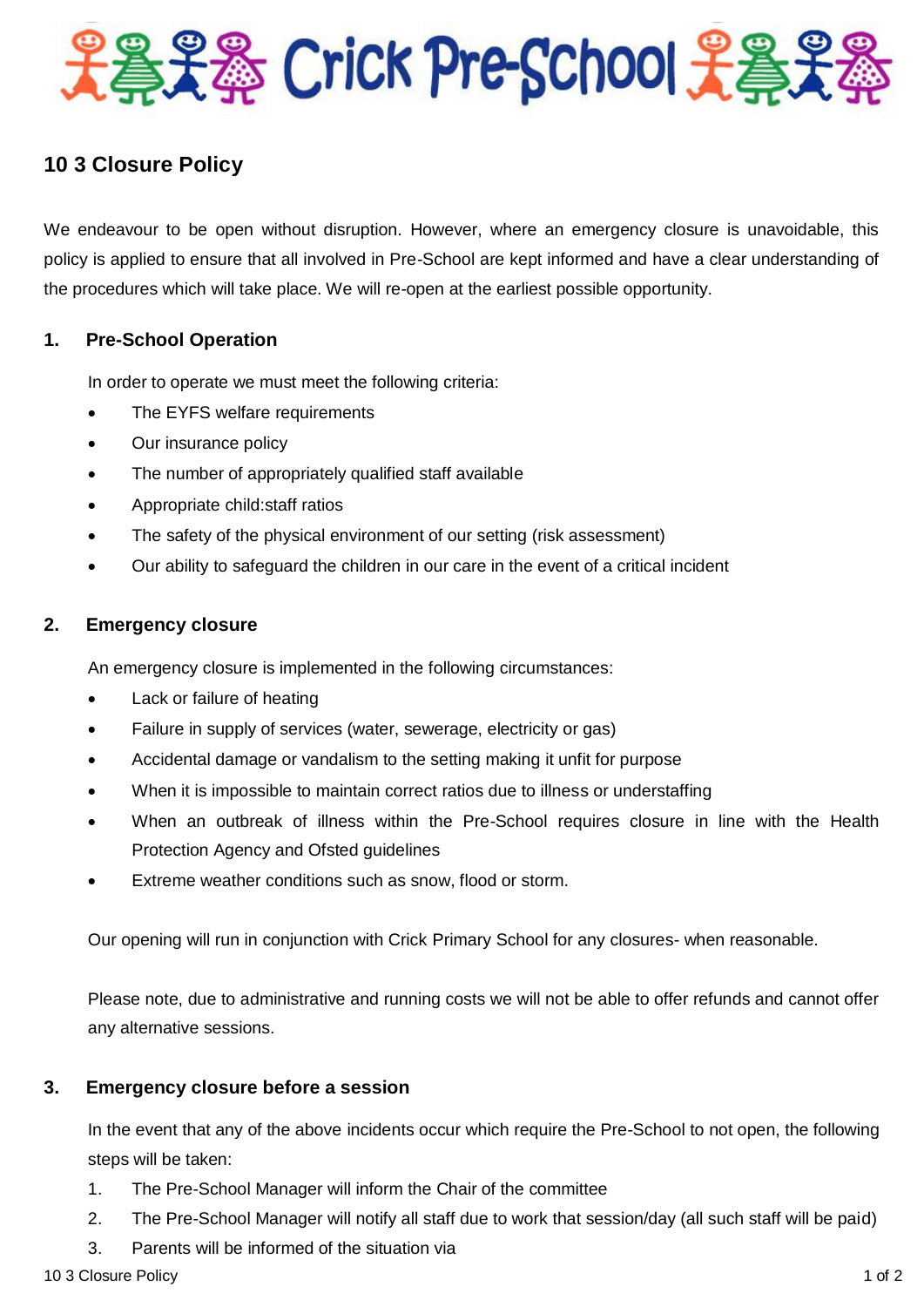

# **10 3 Closure Policy**

We endeavour to be open without disruption. However, where an emergency closure is unavoidable, this policy is applied to ensure that all involved in Pre-School are kept informed and have a clear understanding of the procedures which will take place. We will re-open at the earliest possible opportunity.

## **1. Pre-School Operation**

In order to operate we must meet the following criteria:

- The EYFS welfare requirements
- Our insurance policy
- The number of appropriately qualified staff available
- Appropriate child:staff ratios
- The safety of the physical environment of our setting (risk assessment)
- Our ability to safeguard the children in our care in the event of a critical incident

### **2. Emergency closure**

An emergency closure is implemented in the following circumstances:

- Lack or failure of heating
- Failure in supply of services (water, sewerage, electricity or gas)
- Accidental damage or vandalism to the setting making it unfit for purpose
- When it is impossible to maintain correct ratios due to illness or understaffing
- When an outbreak of illness within the Pre-School requires closure in line with the Health Protection Agency and Ofsted guidelines
- Extreme weather conditions such as snow, flood or storm.

Our opening will run in conjunction with Crick Primary School for any closures- when reasonable.

Please note, due to administrative and running costs we will not be able to offer refunds and cannot offer any alternative sessions.

## **3. Emergency closure before a session**

In the event that any of the above incidents occur which require the Pre-School to not open, the following steps will be taken:

- 1. The Pre-School Manager will inform the Chair of the committee
- 2. The Pre-School Manager will notify all staff due to work that session/day (all such staff will be paid)
- 3. Parents will be informed of the situation via